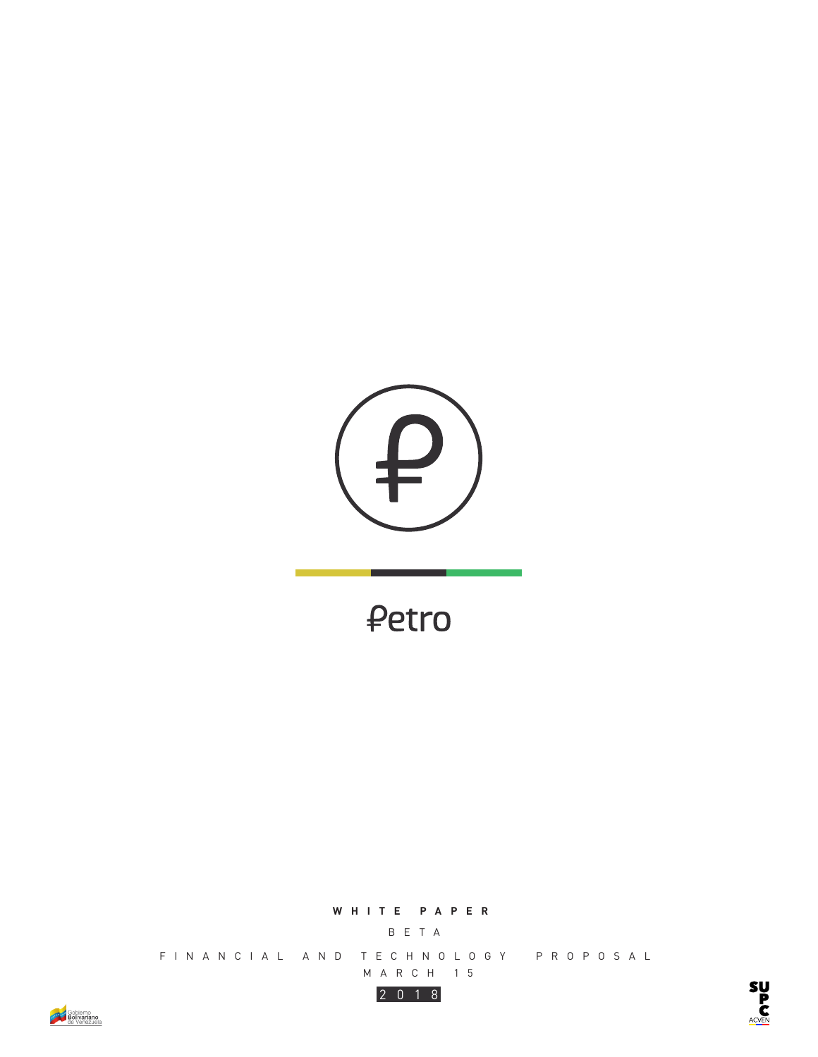

₽etro

## **WHITE PAPER**

BETA

FINANCIAL AND TECHNOLOGY PROPOSAL MARCH 15



**SUPP**<br>COMP

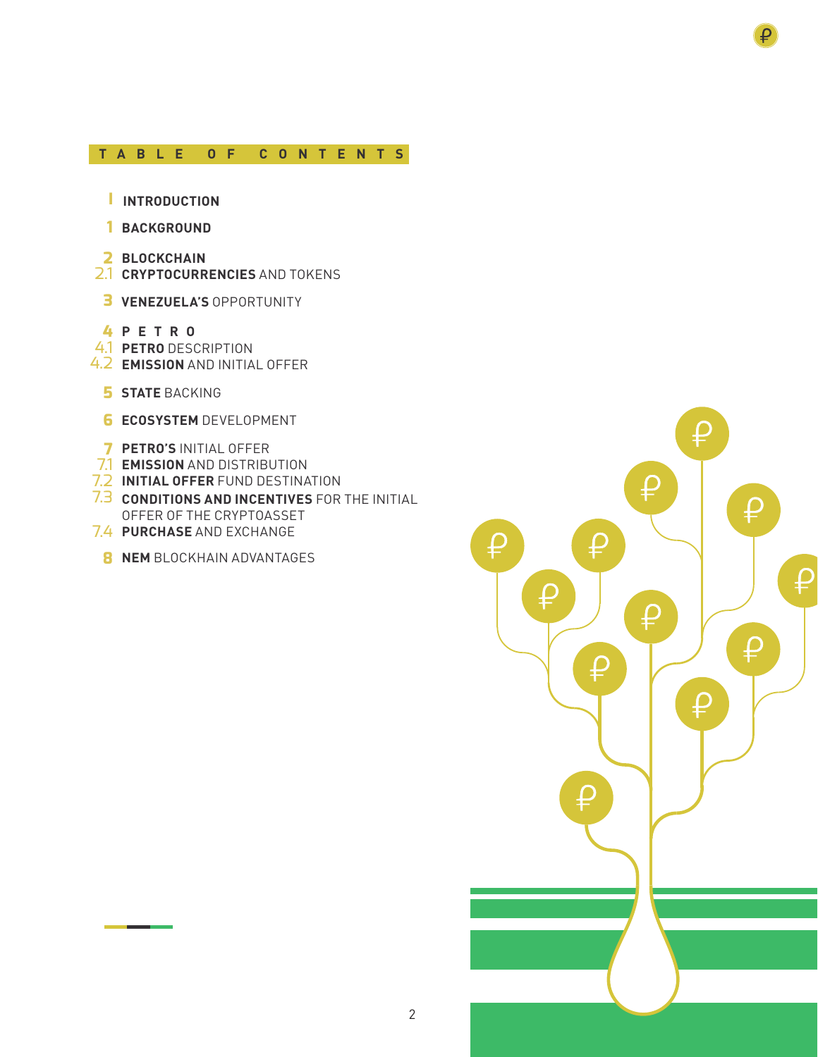## **TABLE OF CONTENTS**

- **INTRODUCTION I**
- **BACKGROUND 1**
- **2 BLOCKCHAIN**
- 2.1 **CRYPTOCURRENCIES** AND TOKENS
- **3 VENEZUELA'S OPPORTUNITY**
- **4 PETRO**
- 4.1 **PETRO** DESCRIPTION
- 4.2 **EMISSION** AND INITIAL OFFER
	- **5 STATE** BACKING
	- **6 ECOSYSTEM** DEVELOPMENT
- **7 PETRO'S** INITIAL OFFER
- 7.1 **EMISSION** AND DISTRIBUTION
- 7.2 **INITIAL OFFER** FUND DESTINATION
- 7.3 **CONDITIONS AND INCENTIVES** FOR THE INITIAL OFFER OF THE CRYPTOASSET
- 7.4 **PURCHASE** AND EXCHANGE
- **8 NEM** BLOCKHAIN ADVANTAGES



₽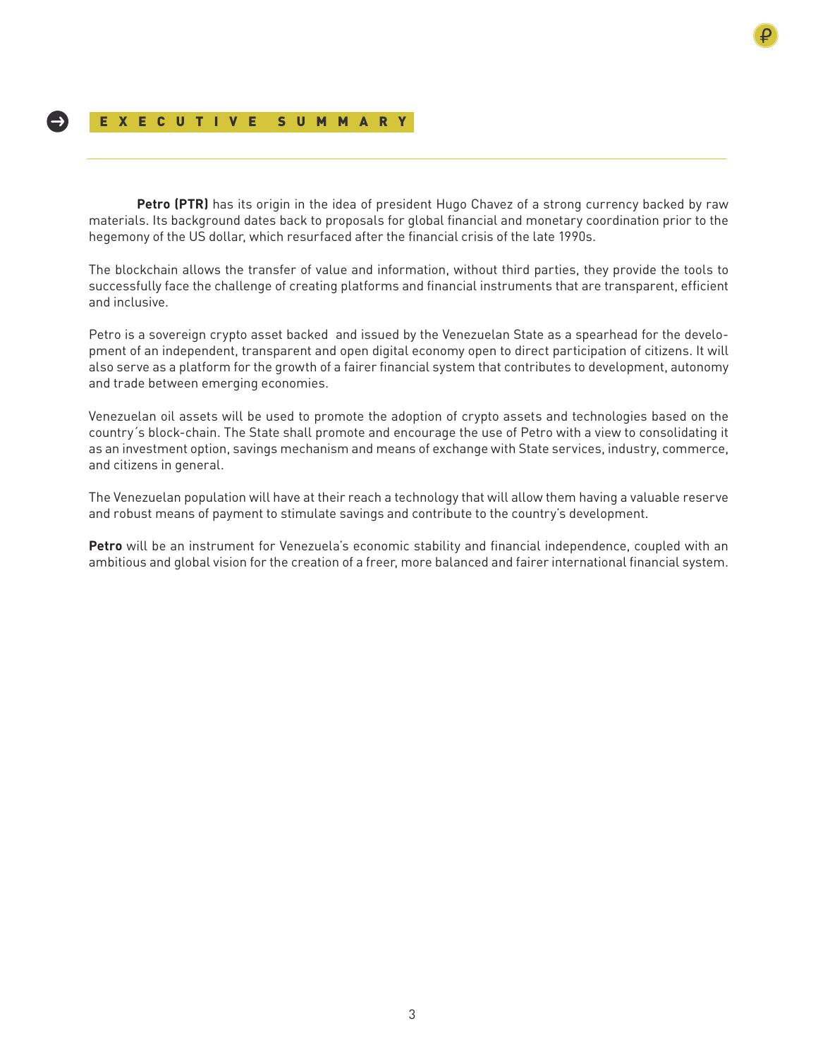## EXECUTIVE SUMMARY

**Petro (PTR)** has its origin in the idea of president Hugo Chavez of a strong currency backed by raw materials. Its background dates back to proposals for global financial and monetary coordination prior to the hegemony of the US dollar, which resurfaced after the financial crisis of the late 1990s.

The blockchain allows the transfer of value and information, without third parties, they provide the tools to successfully face the challenge of creating platforms and financial instruments that are transparent, efficient and inclusive.

Petro is a sovereign crypto asset backed and issued by the Venezuelan State as a spearhead for the development of an independent, transparent and open digital economy open to direct participation of citizens. It will also serve as a platform for the growth of a fairer financial system that contributes to development, autonomy and trade between emerging economies.

Venezuelan oil assets will be used to promote the adoption of crypto assets and technologies based on the country´s block-chain. The State shall promote and encourage the use of Petro with a view to consolidating it as an investment option, savings mechanism and means of exchange with State services, industry, commerce, and citizens in general.

The Venezuelan population will have at their reach a technology that will allow them having a valuable reserve and robust means of payment to stimulate savings and contribute to the country's development.

**Petro** will be an instrument for Venezuela's economic stability and financial independence, coupled with an ambitious and global vision for the creation of a freer, more balanced and fairer international financial system.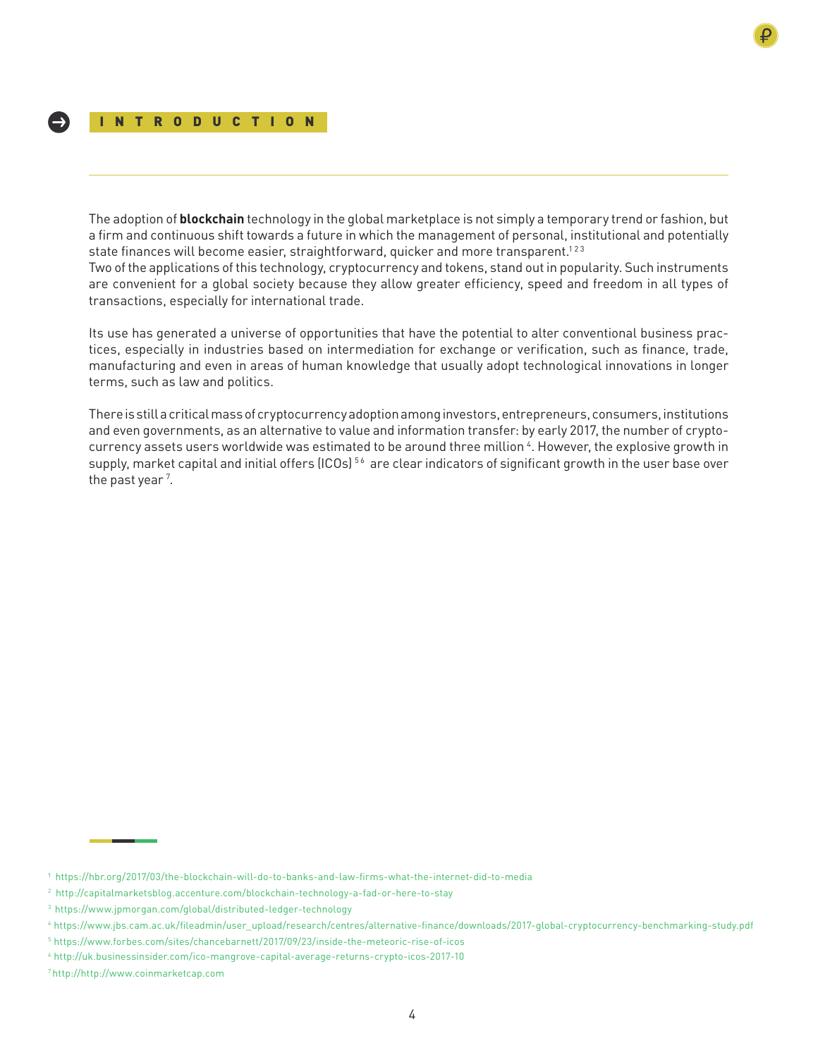The adoption of **blockchain** technology in the global marketplace is not simply a temporary trend or fashion, but a firm and continuous shift towards a future in which the management of personal, institutional and potentially state finances will become easier, straightforward, quicker and more transparent.<sup>123</sup>

Two of the applications of this technology, cryptocurrency and tokens, stand out in popularity. Such instruments are convenient for a global society because they allow greater efficiency, speed and freedom in all types of transactions, especially for international trade.

Its use has generated a universe of opportunities that have the potential to alter conventional business practices, especially in industries based on intermediation for exchange or verification, such as finance, trade, manufacturing and even in areas of human knowledge that usually adopt technological innovations in longer terms, such as law and politics.

There is still a critical mass of cryptocurrency adoption among investors, entrepreneurs, consumers, institutions and even governments, as an alternative to value and information transfer: by early 2017, the number of cryptocurrency assets users worldwide was estimated to be around three million 4. However, the explosive growth in supply, market capital and initial offers (ICOs)<sup>56</sup> are clear indicators of significant growth in the user base over the past year<sup>7</sup>.

¹ https://hbr.org/2017/03/the-blockchain-will-do-to-banks-and-law-firms-what-the-internet-did-to-media

<sup>2</sup> http://capitalmarketsblog.accenture.com/blockchain-technology-a-fad-or-here-to-stay

<sup>3</sup> https://www.jpmorgan.com/global/distributed-ledger-technology

<sup>4</sup> https://www.jbs.cam.ac.uk/fileadmin/user\_upload/research/centres/alternative-finance/downloads/2017-global-cryptocurrency-benchmarking-study.pdf

<sup>5</sup> https://www.forbes.com/sites/chancebarnett/2017/09/23/inside-the-meteoric-rise-of-icos

<sup>6</sup> http://uk.businessinsider.com/ico-mangrove-capital-average-returns-crypto-icos-2017-10

<sup>7</sup> http://http://www.coinmarketcap.com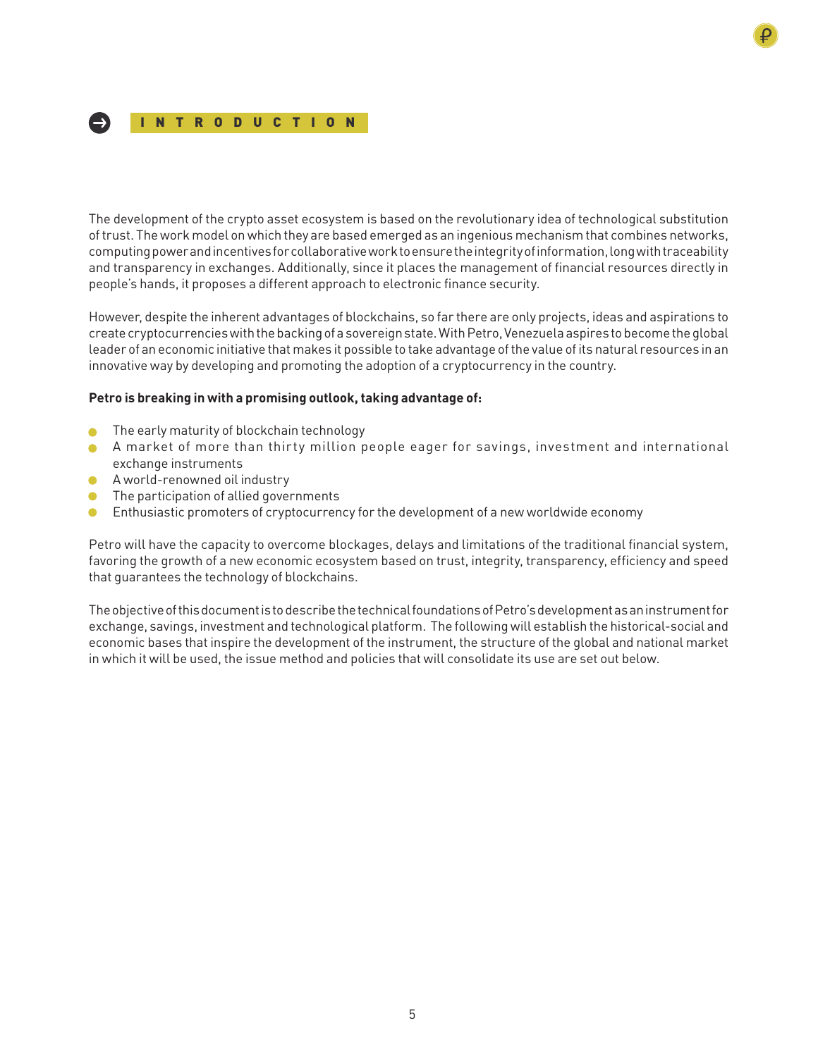

The development of the crypto asset ecosystem is based on the revolutionary idea of technological substitution of trust. The work model on which they are based emerged as an ingenious mechanism that combines networks, computing power and incentives for collaborative work to ensure the integrity of information, long with traceability and transparency in exchanges. Additionally, since it places the management of financial resources directly in people's hands, it proposes a different approach to electronic finance security.

However, despite the inherent advantages of blockchains, so far there are only projects, ideas and aspirations to create cryptocurrencies with the backing of a sovereign state. With Petro, Venezuela aspires to become the global leader of an economic initiative that makes it possible to take advantage of the value of its natural resources in an innovative way by developing and promoting the adoption of a cryptocurrency in the country.

## **Petro is breaking in with a promising outlook, taking advantage of:**

- **The early maturity of blockchain technology**
- A market of more than thirty million people eager for savings, investment and international exchange instruments
- A world-renowned oil industry
- **•** The participation of allied governments
- **•** Enthusiastic promoters of cryptocurrency for the development of a new worldwide economy

Petro will have the capacity to overcome blockages, delays and limitations of the traditional financial system, favoring the growth of a new economic ecosystem based on trust, integrity, transparency, efficiency and speed that guarantees the technology of blockchains.

The objective of this document is to describe the technical foundations of Petro's development as an instrument for exchange, savings, investment and technological platform. The following will establish the historical-social and economic bases that inspire the development of the instrument, the structure of the global and national market in which it will be used, the issue method and policies that will consolidate its use are set out below.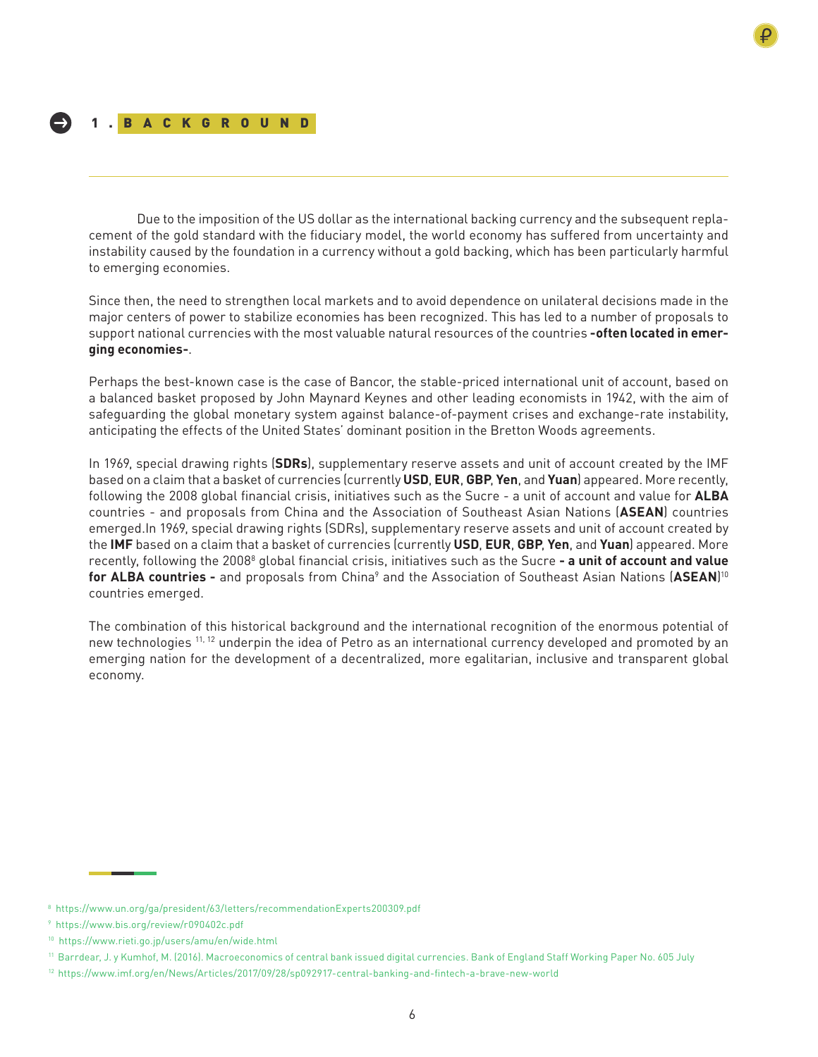Due to the imposition of the US dollar as the international backing currency and the subsequent replacement of the gold standard with the fiduciary model, the world economy has suffered from uncertainty and instability caused by the foundation in a currency without a gold backing, which has been particularly harmful to emerging economies.

Since then, the need to strengthen local markets and to avoid dependence on unilateral decisions made in the major centers of power to stabilize economies has been recognized. This has led to a number of proposals to support national currencies with the most valuable natural resources of the countries **-often located in emerging economies-**.

Perhaps the best-known case is the case of Bancor, the stable-priced international unit of account, based on a balanced basket proposed by John Maynard Keynes and other leading economists in 1942, with the aim of safeguarding the global monetary system against balance-of-payment crises and exchange-rate instability, anticipating the effects of the United States' dominant position in the Bretton Woods agreements.

In 1969, special drawing rights (**SDRs**), supplementary reserve assets and unit of account created by the IMF based on a claim that a basket of currencies (currently **USD**, **EUR**, **GBP**, **Yen**, and **Yuan**) appeared. More recently, following the 2008 global financial crisis, initiatives such as the Sucre - a unit of account and value for **ALBA** countries - and proposals from China and the Association of Southeast Asian Nations (**ASEAN**) countries emerged.In 1969, special drawing rights (SDRs), supplementary reserve assets and unit of account created by the **IMF** based on a claim that a basket of currencies (currently **USD**, **EUR**, **GBP**, **Yen**, and **Yuan**) appeared. More recently, following the 2008<sup>8</sup> global financial crisis, initiatives such as the Sucre **- a unit of account and value for ALBA countries -** and proposals from China<sup>9</sup> and the Association of Southeast Asian Nations (**ASEAN**)<sup>10</sup> countries emerged.

The combination of this historical background and the international recognition of the enormous potential of new technologies <sup>11, 12</sup> underpin the idea of Petro as an international currency developed and promoted by an emerging nation for the development of a decentralized, more egalitarian, inclusive and transparent global economy.

<sup>8</sup> https://www.un.org/ga/president/63/letters/recommendationExperts200309.pdf

<sup>9</sup> https://www.bis.org/review/r090402c.pdf

<sup>10</sup> https://www.rieti.go.jp/users/amu/en/wide.html

<sup>11</sup> Barrdear, J. y Kumhof, M. (2016). Macroeconomics of central bank issued digital currencies. Bank of England Staff Working Paper No. 605 July

<sup>12</sup> https://www.imf.org/en/News/Articles/2017/09/28/sp092917-central-banking-and-fintech-a-brave-new-world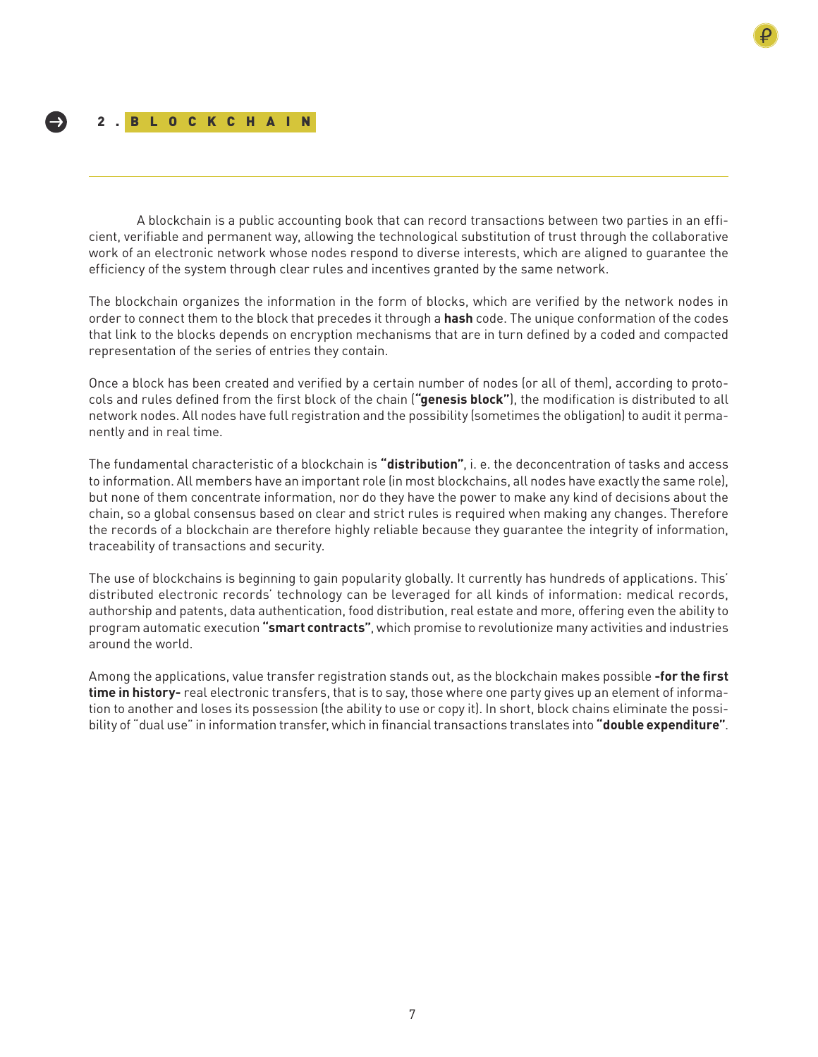## 2.BLOCKCHAIN

-)

A blockchain is a public accounting book that can record transactions between two parties in an efficient, verifiable and permanent way, allowing the technological substitution of trust through the collaborative work of an electronic network whose nodes respond to diverse interests, which are aligned to guarantee the efficiency of the system through clear rules and incentives granted by the same network.

The blockchain organizes the information in the form of blocks, which are verified by the network nodes in order to connect them to the block that precedes it through a **hash** code. The unique conformation of the codes that link to the blocks depends on encryption mechanisms that are in turn defined by a coded and compacted representation of the series of entries they contain.

Once a block has been created and verified by a certain number of nodes (or all of them), according to protocols and rules defined from the first block of the chain (**"genesis block"**), the modification is distributed to all network nodes. All nodes have full registration and the possibility (sometimes the obligation) to audit it permanently and in real time.

The fundamental characteristic of a blockchain is **"distribution"**, i. e. the deconcentration of tasks and access to information. All members have an important role (in most blockchains, all nodes have exactly the same role), but none of them concentrate information, nor do they have the power to make any kind of decisions about the chain, so a global consensus based on clear and strict rules is required when making any changes. Therefore the records of a blockchain are therefore highly reliable because they guarantee the integrity of information, traceability of transactions and security.

The use of blockchains is beginning to gain popularity globally. It currently has hundreds of applications. This' distributed electronic records' technology can be leveraged for all kinds of information: medical records, authorship and patents, data authentication, food distribution, real estate and more, offering even the ability to program automatic execution **"smart contracts"**, which promise to revolutionize many activities and industries around the world.

Among the applications, value transfer registration stands out, as the blockchain makes possible **-for the first time in history-** real electronic transfers, that is to say, those where one party gives up an element of information to another and loses its possession (the ability to use or copy it). In short, block chains eliminate the possibility of "dual use" in information transfer, which in financial transactions translates into **"double expenditure"**.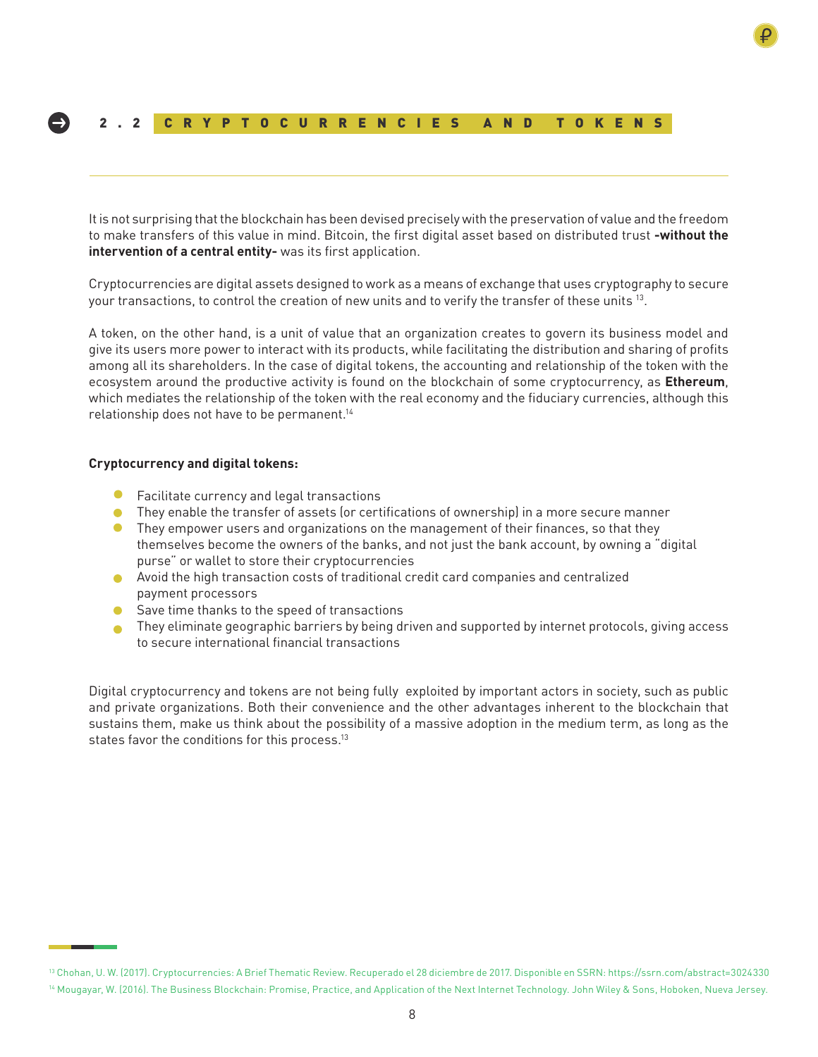## 2.2 CRYPTOCURRENCIES AND TOKENS

It is not surprising that the blockchain has been devised precisely with the preservation of value and the freedom to make transfers of this value in mind. Bitcoin, the first digital asset based on distributed trust **-without the intervention of a central entity-** was its first application.

Cryptocurrencies are digital assets designed to work as a means of exchange that uses cryptography to secure your transactions, to control the creation of new units and to verify the transfer of these units 13.

A token, on the other hand, is a unit of value that an organization creates to govern its business model and give its users more power to interact with its products, while facilitating the distribution and sharing of profits among all its shareholders. In the case of digital tokens, the accounting and relationship of the token with the ecosystem around the productive activity is found on the blockchain of some cryptocurrency, as **Ethereum**, which mediates the relationship of the token with the real economy and the fiduciary currencies, although this relationship does not have to be permanent.14

#### **Cryptocurrency and digital tokens:**

- $\bullet$ Facilitate currency and legal transactions
- They enable the transfer of assets (or certifications of ownership) in a more secure manner
- $\bullet$ They empower users and organizations on the management of their finances, so that they themselves become the owners of the banks, and not just the bank account, by owning a "digital purse" or wallet to store their cryptocurrencies
- Avoid the high transaction costs of traditional credit card companies and centralized payment processors
- Save time thanks to the speed of transactions
- **They eliminate geographic barriers by being driven and supported by internet protocols, giving access** to secure international financial transactions

Digital cryptocurrency and tokens are not being fully exploited by important actors in society, such as public and private organizations. Both their convenience and the other advantages inherent to the blockchain that sustains them, make us think about the possibility of a massive adoption in the medium term, as long as the states favor the conditions for this process.<sup>13</sup>

<sup>13</sup> Chohan, U. W. (2017). Cryptocurrencies: A Brief Thematic Review. Recuperado el 28 diciembre de 2017. Disponible en SSRN: https://ssrn.com/abstract=3024330 <sup>14</sup> Mougayar, W. (2016). The Business Blockchain: Promise, Practice, and Application of the Next Internet Technology. John Wiley & Sons, Hoboken, Nueva Jersey.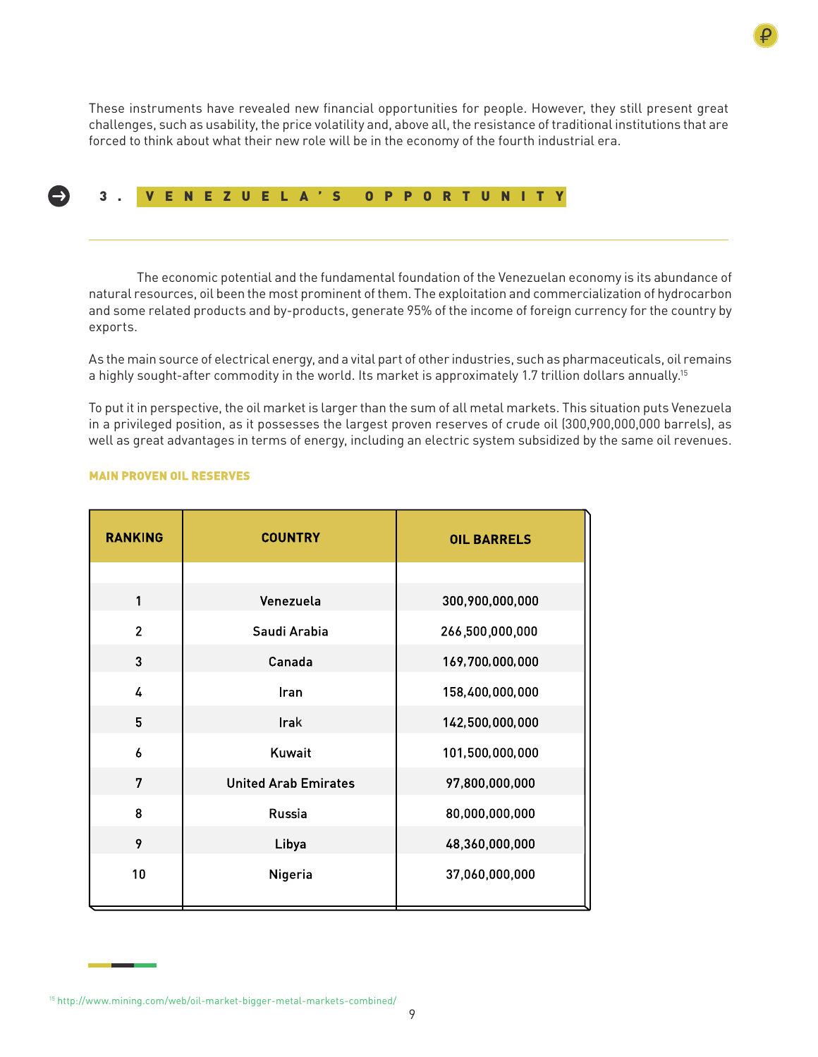

These instruments have revealed new financial opportunities for people. However, they still present great challenges, such as usability, the price volatility and, above all, the resistance of traditional institutions that are forced to think about what their new role will be in the economy of the fourth industrial era.

## 3. VENEZUELA'S OPPORTUNITY

The economic potential and the fundamental foundation of the Venezuelan economy is its abundance of natural resources, oil been the most prominent of them. The exploitation and commercialization of hydrocarbon and some related products and by-products, generate 95% of the income of foreign currency for the country by exports.

As the main source of electrical energy, and a vital part of other industries, such as pharmaceuticals, oil remains a highly sought-after commodity in the world. Its market is approximately 1.7 trillion dollars annually.<sup>15</sup>

To put it in perspective, the oil market is larger than the sum of all metal markets. This situation puts Venezuela in a privileged position, as it possesses the largest proven reserves of crude oil (300,900,000,000 barrels), as well as great advantages in terms of energy, including an electric system subsidized by the same oil revenues.

| <b>RANKING</b> | <b>COUNTRY</b>              | <b>OIL BARRELS</b> |
|----------------|-----------------------------|--------------------|
|                |                             |                    |
| 1              | Venezuela                   | 300,900,000,000    |
| $\overline{2}$ | Saudi Arabia                | 266,500,000,000    |
| 3              | Canada                      | 169,700,000,000    |
| 4              | Iran                        | 158,400,000,000    |
| 5              | Irak                        | 142,500,000,000    |
| 6              | Kuwait                      | 101,500,000,000    |
| 7              | <b>United Arab Emirates</b> | 97,800,000,000     |
| 8              | Russia                      | 80,000,000,000     |
| 9              | Libya                       | 48,360,000,000     |
| 10             | Nigeria                     | 37,060,000,000     |

#### **MAIN PROVEN OIL RESERVES**

<sup>15</sup> http://www.mining.com/web/oil-market-bigger-metal-markets-combined/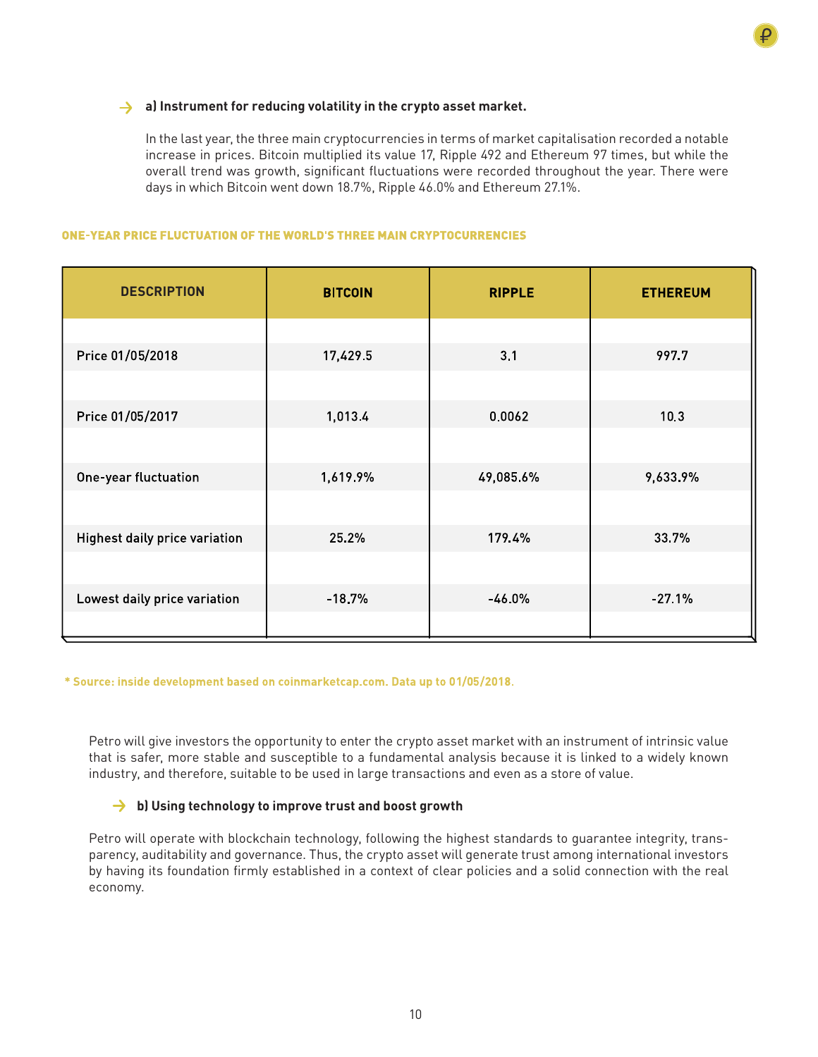## **a) Instrument for reducing volatility in the crypto asset market.**

In the last year, the three main cryptocurrencies in terms of market capitalisation recorded a notable increase in prices. Bitcoin multiplied its value 17, Ripple 492 and Ethereum 97 times, but while the overall trend was growth, significant fluctuations were recorded throughout the year. There were days in which Bitcoin went down 18.7%, Ripple 46.0% and Ethereum 27.1%.

## ONE-YEAR PRICE FLUCTUATION OF THE WORLD'S THREE MAIN CRYPTOCURRENCIES

| <b>DESCRIPTION</b>                   | <b>BITCOIN</b> | <b>RIPPLE</b> | <b>ETHEREUM</b> |
|--------------------------------------|----------------|---------------|-----------------|
|                                      |                |               |                 |
| Price 01/05/2018                     | 17,429.5       | 3.1           | 997.7           |
|                                      |                |               |                 |
| Price 01/05/2017                     | 1,013.4        | 0.0062        | 10.3            |
|                                      |                |               |                 |
| One-year fluctuation                 | 1,619.9%       | 49,085.6%     | 9,633.9%        |
|                                      |                |               |                 |
| <b>Highest daily price variation</b> | 25.2%          | 179.4%        | 33.7%           |
|                                      |                |               |                 |
| Lowest daily price variation         | $-18.7%$       | $-46.0%$      | $-27.1%$        |
|                                      |                |               |                 |

\* Source: inside development based on coinmarketcap.com. Data up to 01/05/2018.

Petro will give investors the opportunity to enter the crypto asset market with an instrument of intrinsic value that is safer, more stable and susceptible to a fundamental analysis because it is linked to a widely known industry, and therefore, suitable to be used in large transactions and even as a store of value.

## **→ b)** Using technology to improve trust and boost growth

Petro will operate with blockchain technology, following the highest standards to guarantee integrity, transparency, auditability and governance. Thus, the crypto asset will generate trust among international investors by having its foundation firmly established in a context of clear policies and a solid connection with the real economy.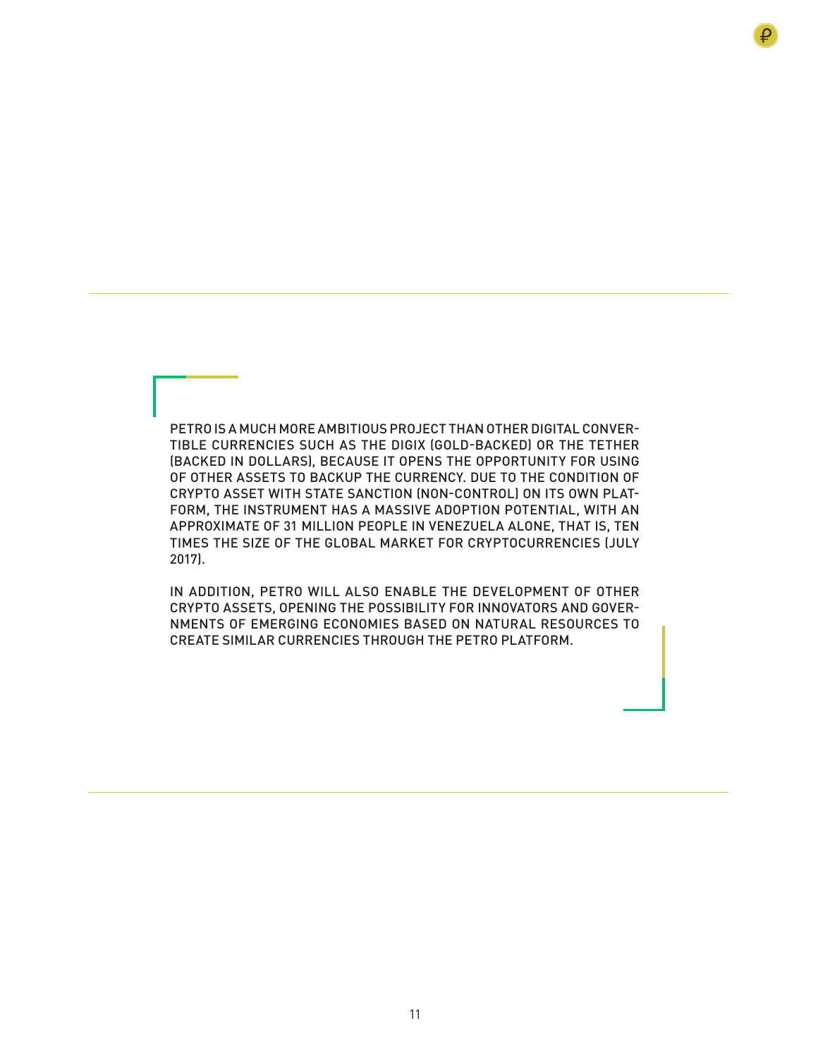PETRO IS A MUCH MORE AMBITIOUS PROJECT THAN OTHER DIGITAL CONVER-TIBLE CURRENCIES SUCH AS THE DIGIX (GOLD-BACKED) OR THE TETHER (BACKED IN DOLLARS), BECAUSE IT OPENS THE OPPORTUNITY FOR USING OF OTHER ASSETS TO BACKUP THE CURRENCY. DUE TO THE CONDITION OF CRYPTO ASSET WITH STATE SANCTION (NON-CONTROL) ON ITS OWN PLAT-FORM, THE INSTRUMENT HAS A MASSIVE ADOPTION POTENTIAL, WITH AN APPROXIMATE OF 31 MILLION PEOPLE IN VENEZUELA ALONE, THAT IS, TEN TIMES THE SIZE OF THE GLOBAL MARKET FOR CRYPTOCURRENCIES (JULY 2017).

IN ADDITION, PETRO WILL ALSO ENABLE THE DEVELOPMENT OF OTHER CRYPTO ASSETS, OPENING THE POSSIBILITY FOR INNOVATORS AND GOVER-NMENTS OF EMERGING ECONOMIES BASED ON NATURAL RESOURCES TO CREATE SIMILAR CURRENCIES THROUGH THE PETRO PLATFORM.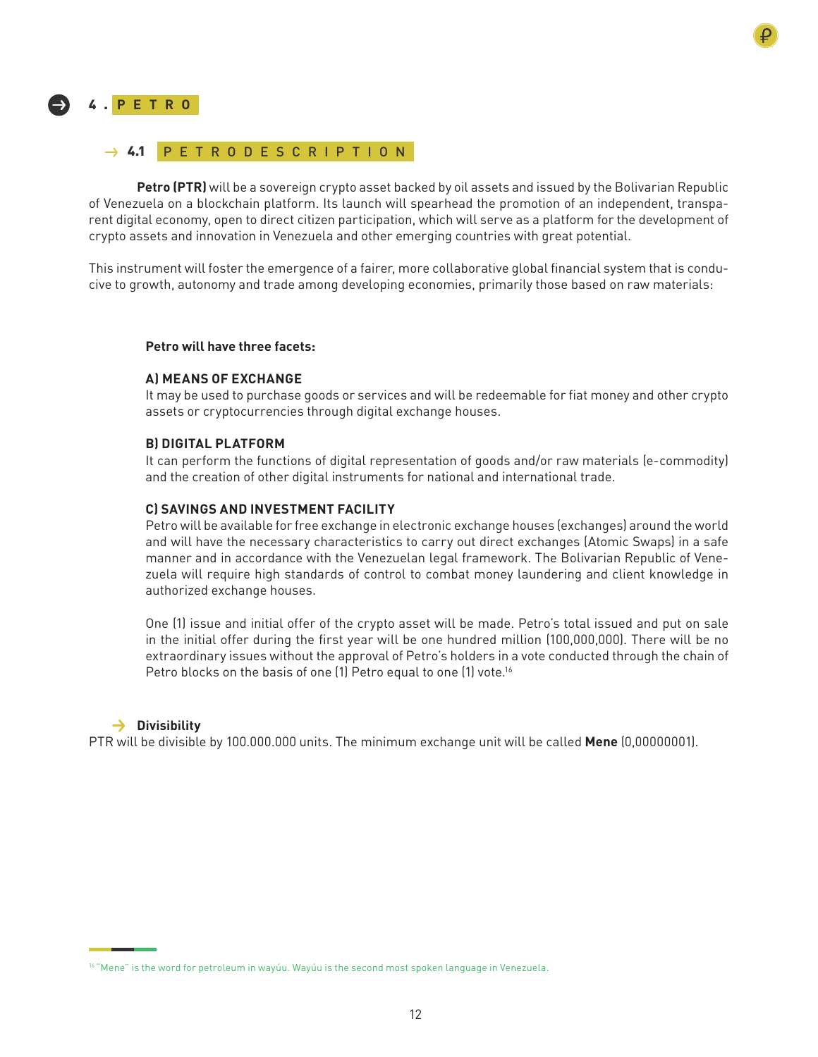

## 4 . **PETRO**

## → 4.1 PETRODESCRIPTION

**Petro (PTR)** will be a sovereign crypto asset backed by oil assets and issued by the Bolivarian Republic of Venezuela on a blockchain platform. Its launch will spearhead the promotion of an independent, transparent digital economy, open to direct citizen participation, which will serve as a platform for the development of crypto assets and innovation in Venezuela and other emerging countries with great potential.

This instrument will foster the emergence of a fairer, more collaborative global financial system that is conducive to growth, autonomy and trade among developing economies, primarily those based on raw materials:

## **Petro will have three facets:**

## **A) MEANS OF EXCHANGE**

It may be used to purchase goods or services and will be redeemable for fiat money and other crypto assets or cryptocurrencies through digital exchange houses.

## **B) DIGITAL PLATFORM**

It can perform the functions of digital representation of goods and/or raw materials (e-commodity) and the creation of other digital instruments for national and international trade.

## **C) SAVINGS AND INVESTMENT FACILITY**

Petro will be available for free exchange in electronic exchange houses (exchanges) around the world and will have the necessary characteristics to carry out direct exchanges (Atomic Swaps) in a safe manner and in accordance with the Venezuelan legal framework. The Bolivarian Republic of Venezuela will require high standards of control to combat money laundering and client knowledge in authorized exchange houses.

One (1) issue and initial offer of the crypto asset will be made. Petro's total issued and put on sale in the initial offer during the first year will be one hundred million (100,000,000). There will be no extraordinary issues without the approval of Petro's holders in a vote conducted through the chain of Petro blocks on the basis of one (1) Petro equal to one (1) vote.<sup>16</sup>

#### **Divisibility**

PTR will be divisible by 100.000.000 units. The minimum exchange unit will be called **Mene** (0,00000001).

<sup>&</sup>lt;sup>16</sup> "Mene" is the word for petroleum in wayúu. Wayúu is the second most spoken language in Venezuela.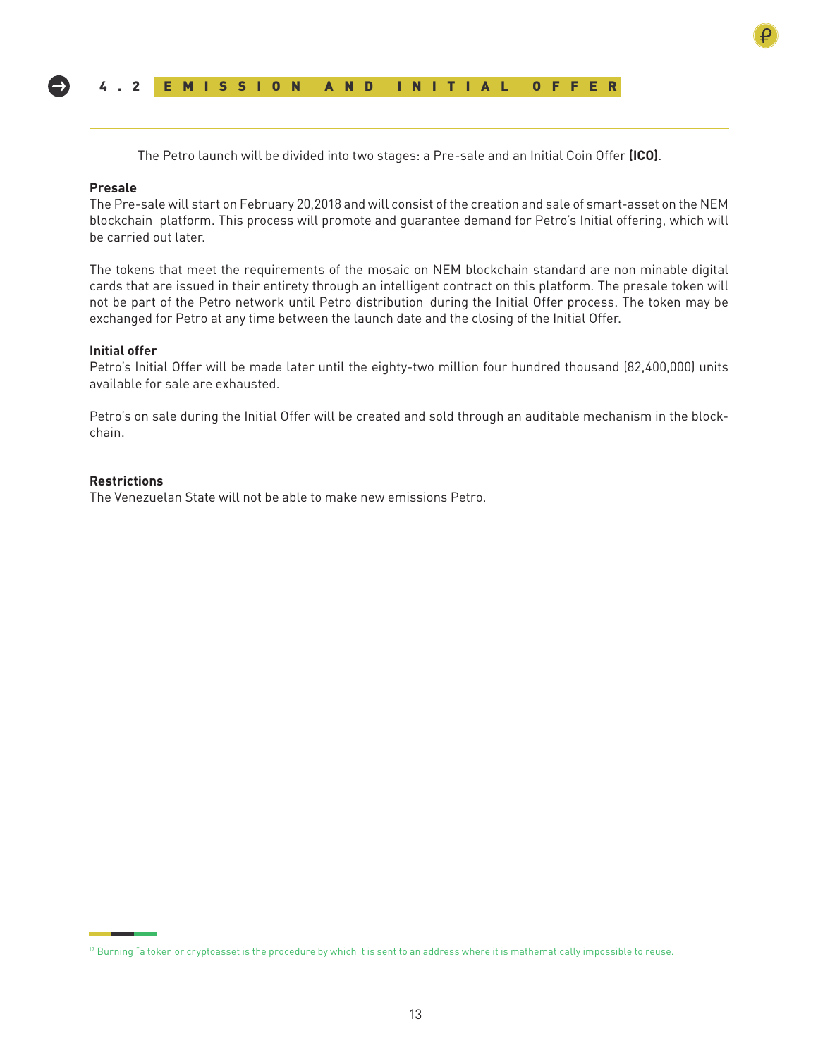

The Petro launch will be divided into two stages: a Pre-sale and an Initial Coin Offer **(ICO)**.

#### **Presale**

The Pre-sale will start on February 20,2018 and will consist of the creation and sale of smart-asset on the NEM blockchain platform. This process will promote and guarantee demand for Petro's Initial offering, which will be carried out later.

The tokens that meet the requirements of the mosaic on NEM blockchain standard are non minable digital cards that are issued in their entirety through an intelligent contract on this platform. The presale token will not be part of the Petro network until Petro distribution during the Initial Offer process. The token may be exchanged for Petro at any time between the launch date and the closing of the Initial Offer.

#### **Initial offer**

Petro's Initial Offer will be made later until the eighty-two million four hundred thousand (82,400,000) units available for sale are exhausted.

Petro's on sale during the Initial Offer will be created and sold through an auditable mechanism in the blockchain.

#### **Restrictions**

The Venezuelan State will not be able to make new emissions Petro.

<sup>&</sup>lt;sup>17</sup> Burning "a token or cryptoasset is the procedure by which it is sent to an address where it is mathematically impossible to reuse.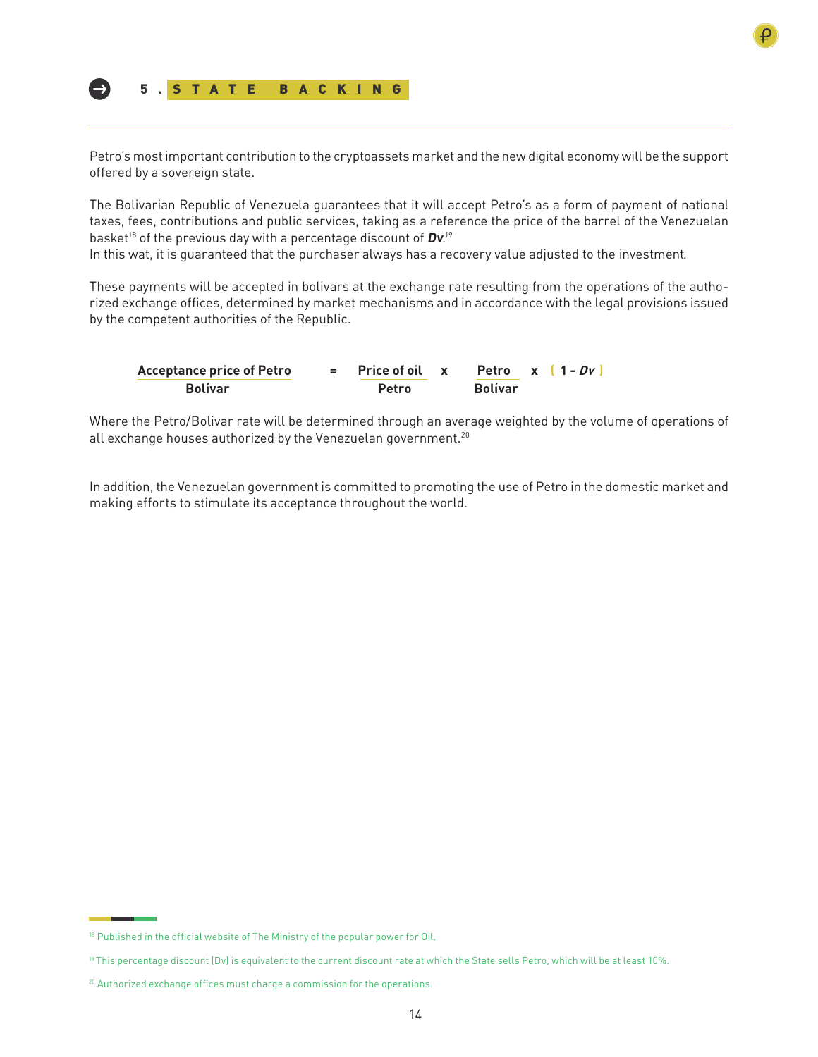

Petro's most important contribution to the cryptoassets market and the new digital economy will be the support offered by a sovereign state.

The Bolivarian Republic of Venezuela guarantees that it will accept Petro's as a form of payment of national taxes, fees, contributions and public services, taking as a reference the price of the barrel of the Venezuelan basket<sup>18</sup> of the previous day with a percentage discount of **Dv**.<sup>19</sup>

In this wat, it is guaranteed that the purchaser always has a recovery value adjusted to the investment.

These payments will be accepted in bolivars at the exchange rate resulting from the operations of the authorized exchange offices, determined by market mechanisms and in accordance with the legal provisions issued by the competent authorities of the Republic.

| <b>Acceptance price of Petro</b> | $=$ Price of oil x Petro x $(1 - Dv^*)$ |                |  |
|----------------------------------|-----------------------------------------|----------------|--|
| <b>Bolívar</b>                   | <b>Petro</b>                            | <b>Bolívar</b> |  |

Where the Petro/Bolivar rate will be determined through an average weighted by the volume of operations of all exchange houses authorized by the Venezuelan government.<sup>20</sup>

In addition, the Venezuelan government is committed to promoting the use of Petro in the domestic market and making efforts to stimulate its acceptance throughout the world.

<sup>&</sup>lt;sup>18</sup> Published in the official website of The Ministry of the popular power for Oil.

<sup>19</sup> This percentage discount (Dv) is equivalent to the current discount rate at which the State sells Petro, which will be at least 10%.

<sup>&</sup>lt;sup>20</sup> Authorized exchange offices must charge a commission for the operations.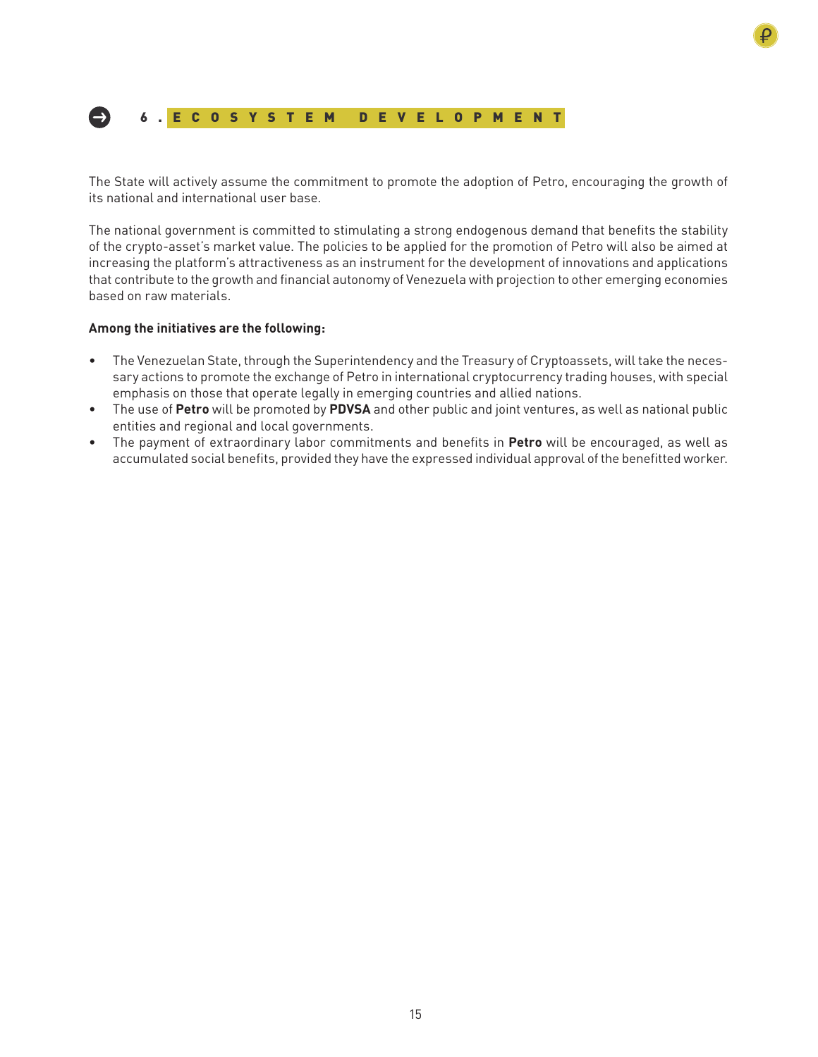

The State will actively assume the commitment to promote the adoption of Petro, encouraging the growth of its national and international user base.

The national government is committed to stimulating a strong endogenous demand that benefits the stability of the crypto-asset's market value. The policies to be applied for the promotion of Petro will also be aimed at increasing the platform's attractiveness as an instrument for the development of innovations and applications that contribute to the growth and financial autonomy of Venezuela with projection to other emerging economies based on raw materials.

## **Among the initiatives are the following:**

- The Venezuelan State, through the Superintendency and the Treasury of Cryptoassets, will take the necessary actions to promote the exchange of Petro in international cryptocurrency trading houses, with special emphasis on those that operate legally in emerging countries and allied nations.
- The use of **Petro** will be promoted by **PDVSA** and other public and joint ventures, as well as national public entities and regional and local governments.
- The payment of extraordinary labor commitments and benefits in **Petro** will be encouraged, as well as accumulated social benefits, provided they have the expressed individual approval of the benefitted worker.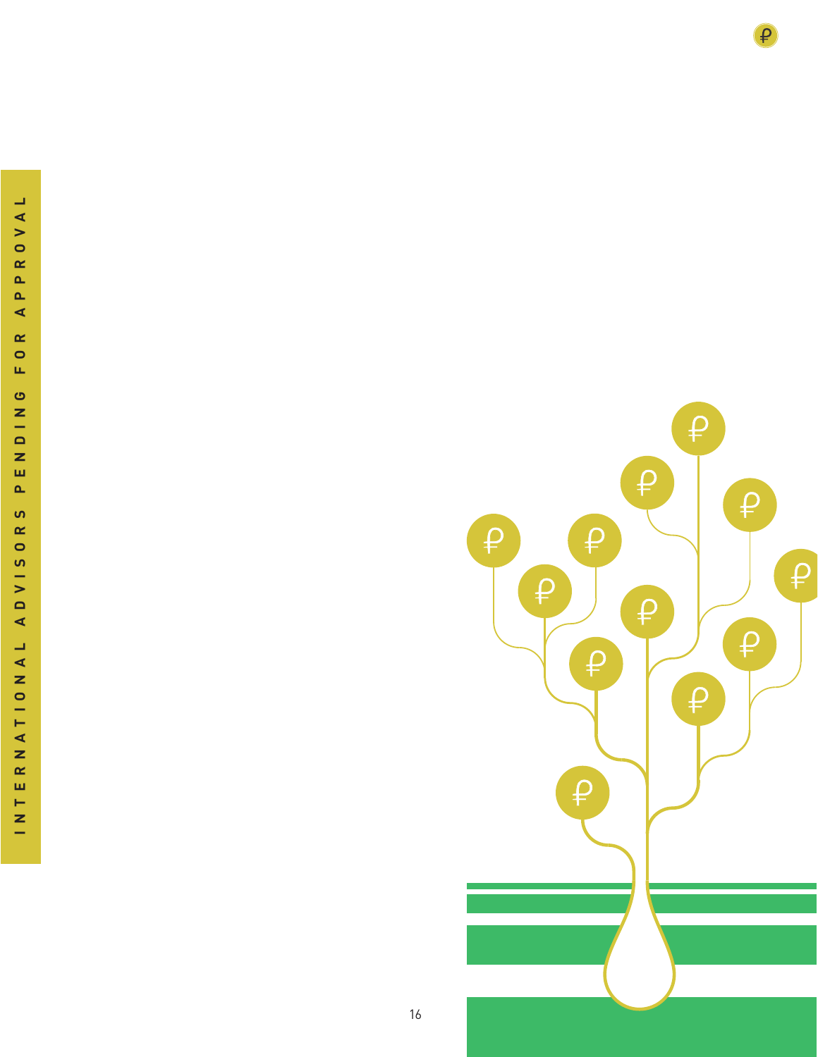

 $\mathbf{\varphi}$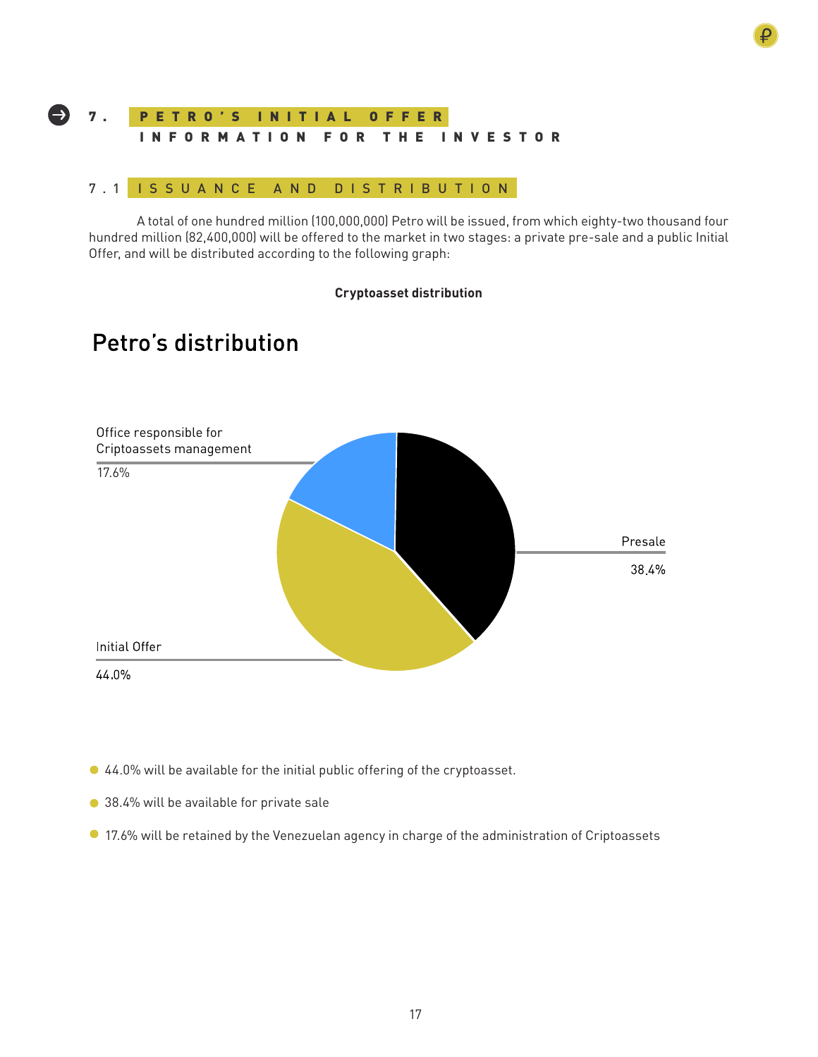## P E T R O ' S I N I T I A L O F F E R INFORMATION FOR THE INVESTOR 7 .

## 7.1 ISSUANCE AND DISTRIBUTION

A total of one hundred million (100,000,000) Petro will be issued, from which eighty-two thousand four hundred million (82,400,000) will be offered to the market in two stages: a private pre-sale and a public Initial Offer, and will be distributed according to the following graph:

## **Cryptoasset distribution**

## Petro's distribution



- 44.0% will be available for the initial public offering of the cryptoasset.
- 38.4% will be available for private sale
- 17.6% will be retained by the Venezuelan agency in charge of the administration of Criptoassets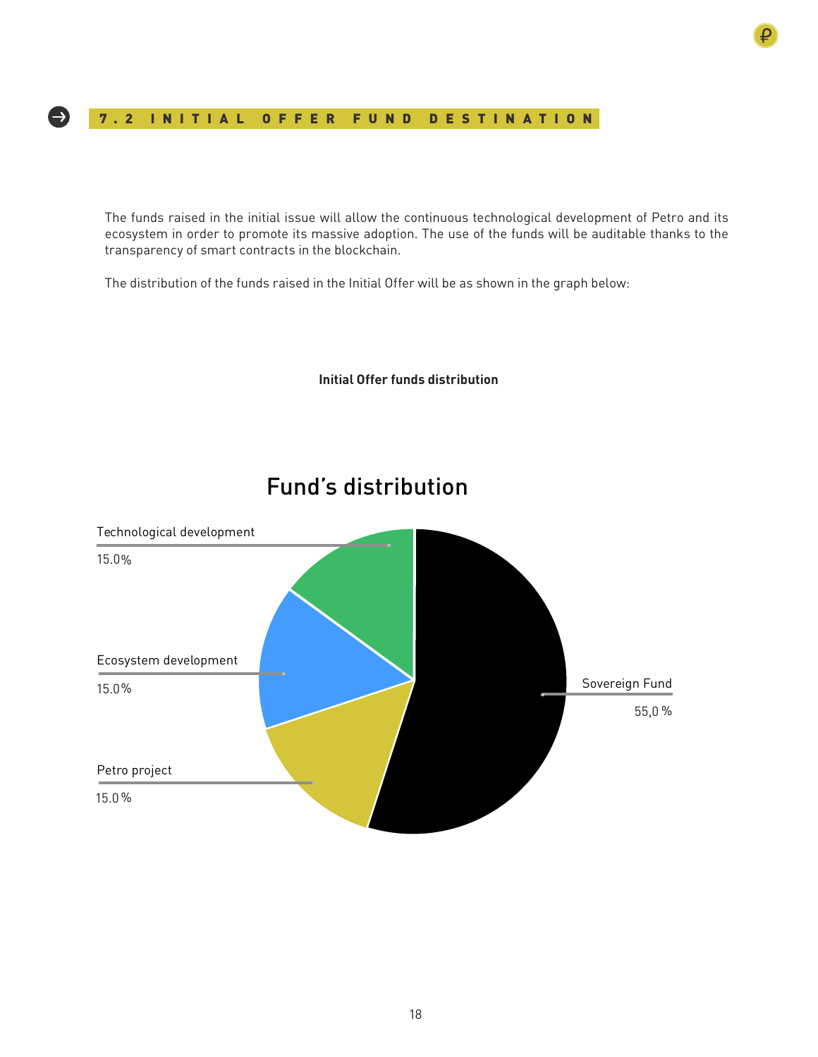## 7.2 INITIAL OFFER FUND DESTINATION

The funds raised in the initial issue will allow the continuous technological development of Petro and its ecosystem in order to promote its massive adoption. The use of the funds will be auditable thanks to the transparency of smart contracts in the blockchain.

**Initial Offer funds distribution**

The distribution of the funds raised in the Initial Offer will be as shown in the graph below:

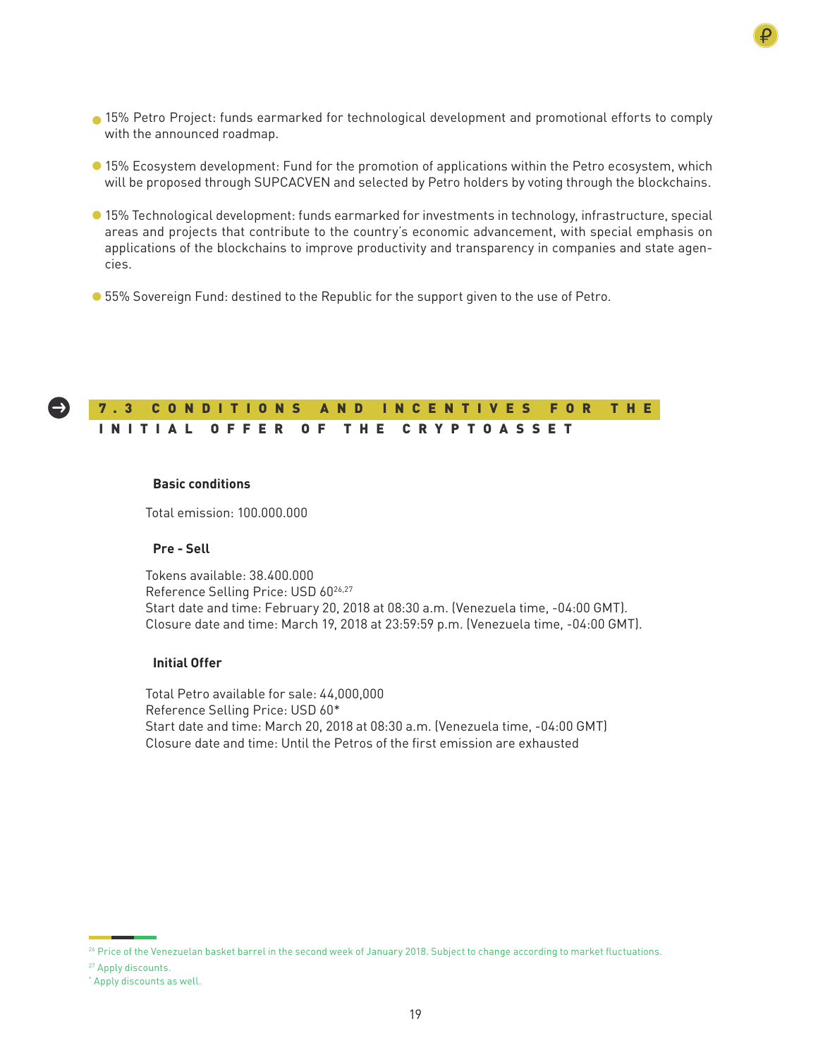- 15% Petro Project: funds earmarked for technological development and promotional efforts to comply with the announced roadmap.
- 15% Ecosystem development: Fund for the promotion of applications within the Petro ecosystem, which will be proposed through SUPCACVEN and selected by Petro holders by voting through the blockchains.
- 15% Technological development: funds earmarked for investments in technology, infrastructure, special areas and projects that contribute to the country's economic advancement, with special emphasis on applications of the blockchains to improve productivity and transparency in companies and state agencies.
- 55% Sovereign Fund: destined to the Republic for the support given to the use of Petro.

#### $\rightarrow$ 7 . 3 C O N D I T I O N S A N D I N C E N T I V E S F O R T H E INITIAL OFFER OF THE CRYPTOASSET

## **Basic conditions**

Total emission: 100.000.000

## **Pre - Sell**

Tokens available: 38.400.000 Reference Selling Price: USD 60<sup>26,27</sup> Start date and time: February 20, 2018 at 08:30 a.m. (Venezuela time, -04:00 GMT). Closure date and time: March 19, 2018 at 23:59:59 p.m. (Venezuela time, -04:00 GMT).

## **Initial Offer**

Total Petro available for sale: 44,000,000 Reference Selling Price: USD 60\* Start date and time: March 20, 2018 at 08:30 a.m. (Venezuela time, -04:00 GMT) Closure date and time: Until the Petros of the first emission are exhausted

<sup>&</sup>lt;sup>26</sup> Price of the Venezuelan basket barrel in the second week of January 2018. Subject to change according to market fluctuations.

<sup>27</sup> Apply discounts.

<sup>\*</sup> Apply discounts as well.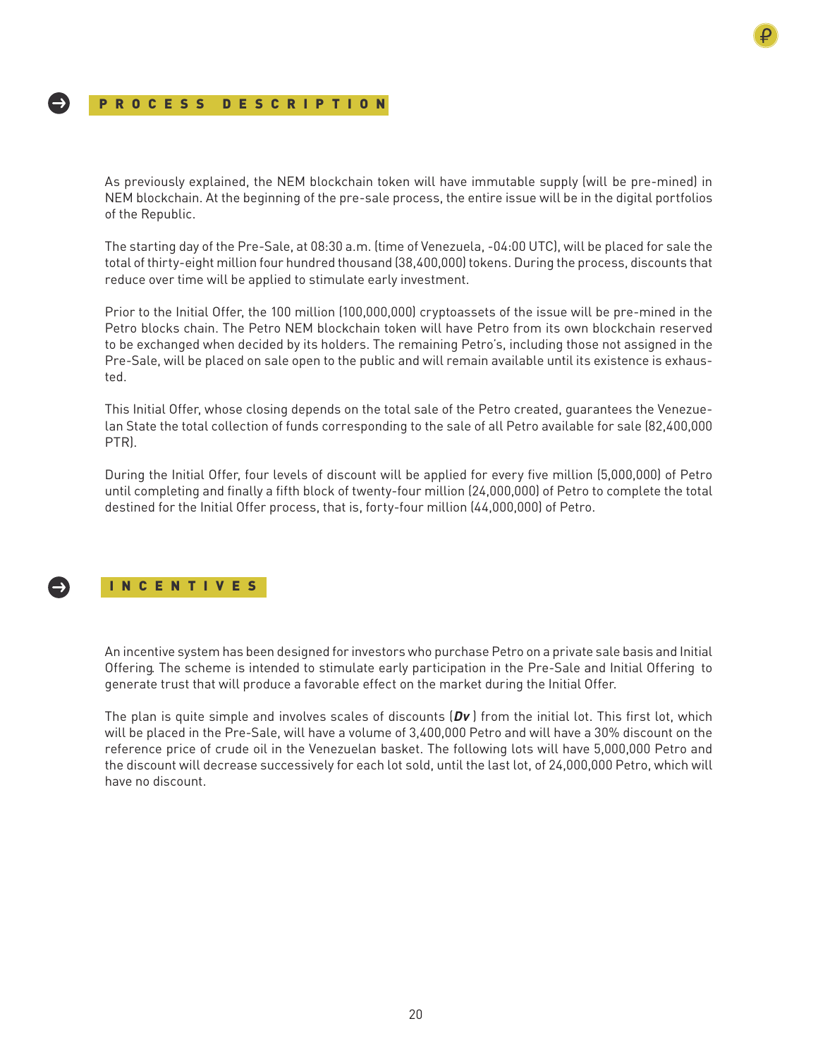## PROCESS DESCRIPTION

As previously explained, the NEM blockchain token will have immutable supply (will be pre-mined) in NEM blockchain. At the beginning of the pre-sale process, the entire issue will be in the digital portfolios of the Republic.

The starting day of the Pre-Sale, at 08:30 a.m. (time of Venezuela, -04:00 UTC), will be placed for sale the total of thirty-eight million four hundred thousand (38,400,000) tokens. During the process, discounts that reduce over time will be applied to stimulate early investment.

Prior to the Initial Offer, the 100 million (100,000,000) cryptoassets of the issue will be pre-mined in the Petro blocks chain. The Petro NEM blockchain token will have Petro from its own blockchain reserved to be exchanged when decided by its holders. The remaining Petro's, including those not assigned in the Pre-Sale, will be placed on sale open to the public and will remain available until its existence is exhausted.

This Initial Offer, whose closing depends on the total sale of the Petro created, guarantees the Venezuelan State the total collection of funds corresponding to the sale of all Petro available for sale (82,400,000 PTR).

During the Initial Offer, four levels of discount will be applied for every five million (5,000,000) of Petro until completing and finally a fifth block of twenty-four million (24,000,000) of Petro to complete the total destined for the Initial Offer process, that is, forty-four million (44,000,000) of Petro.



## INCENTIVES

An incentive system has been designed for investors who purchase Petro on a private sale basis and Initial Offering. The scheme is intended to stimulate early participation in the Pre-Sale and Initial Offering to generate trust that will produce a favorable effect on the market during the Initial Offer.

The plan is quite simple and involves scales of discounts (**Dv** ) from the initial lot. This first lot, which will be placed in the Pre-Sale, will have a volume of 3,400,000 Petro and will have a 30% discount on the reference price of crude oil in the Venezuelan basket. The following lots will have 5,000,000 Petro and the discount will decrease successively for each lot sold, until the last lot, of 24,000,000 Petro, which will have no discount.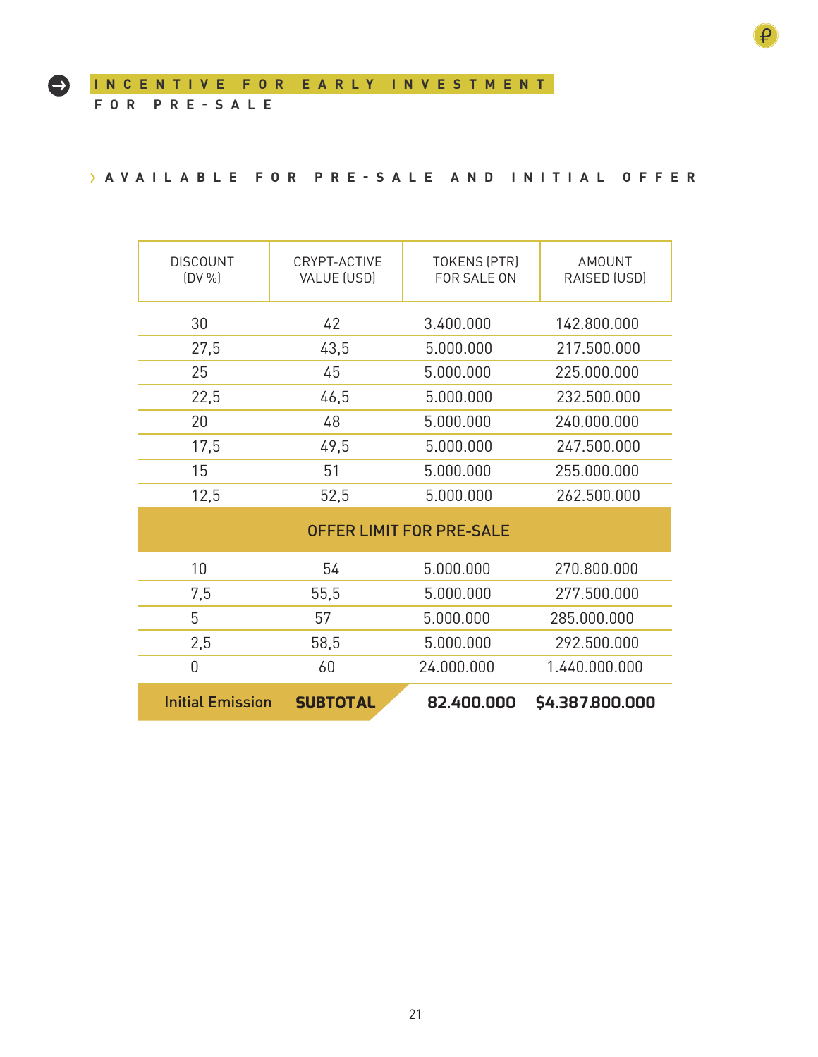$\bullet$ 

## **AVAILABLE FOR PRE-SALE AND INITIAL OFFER**

| <b>DISCOUNT</b><br>(DV %) | CRYPT-ACTIVE<br>VALUE (USD) | <b>TOKENS (PTR)</b><br>FOR SALE ON | AMOUNT<br>RAISED (USD) |  |
|---------------------------|-----------------------------|------------------------------------|------------------------|--|
| 30                        | 42                          | 3.400.000                          | 142.800.000            |  |
| 27,5                      | 43,5                        | 5.000.000                          | 217.500.000            |  |
| 25                        | 45                          | 5.000.000                          | 225.000.000            |  |
| 22,5                      | 46,5                        | 5.000.000                          | 232.500.000            |  |
| 20                        | 48                          | 5.000.000                          | 240.000.000            |  |
| 17,5                      | 49,5                        | 5.000.000                          | 247.500.000            |  |
| 15                        | 51                          | 5.000.000                          | 255.000.000            |  |
| 12,5                      | 52,5                        | 5.000.000                          | 262.500.000            |  |
|                           |                             |                                    |                        |  |

| <b>OFFER LIMIT FOR PRE-SALE</b> |                 |            |                 |  |
|---------------------------------|-----------------|------------|-----------------|--|
| 10                              | 54              | 5.000.000  | 270.800.000     |  |
| 7,5                             | 55,5            | 5.000.000  | 277.500.000     |  |
| 5                               | 57              | 5.000.000  | 285,000,000     |  |
| 2,5                             | 58,5            | 5.000.000  | 292.500.000     |  |
| 0                               | 60              | 24.000.000 | 1.440.000.000   |  |
| <b>Initial Emission</b>         | <b>SUBTOTAL</b> | 82,400,000 | \$4.387.800.000 |  |

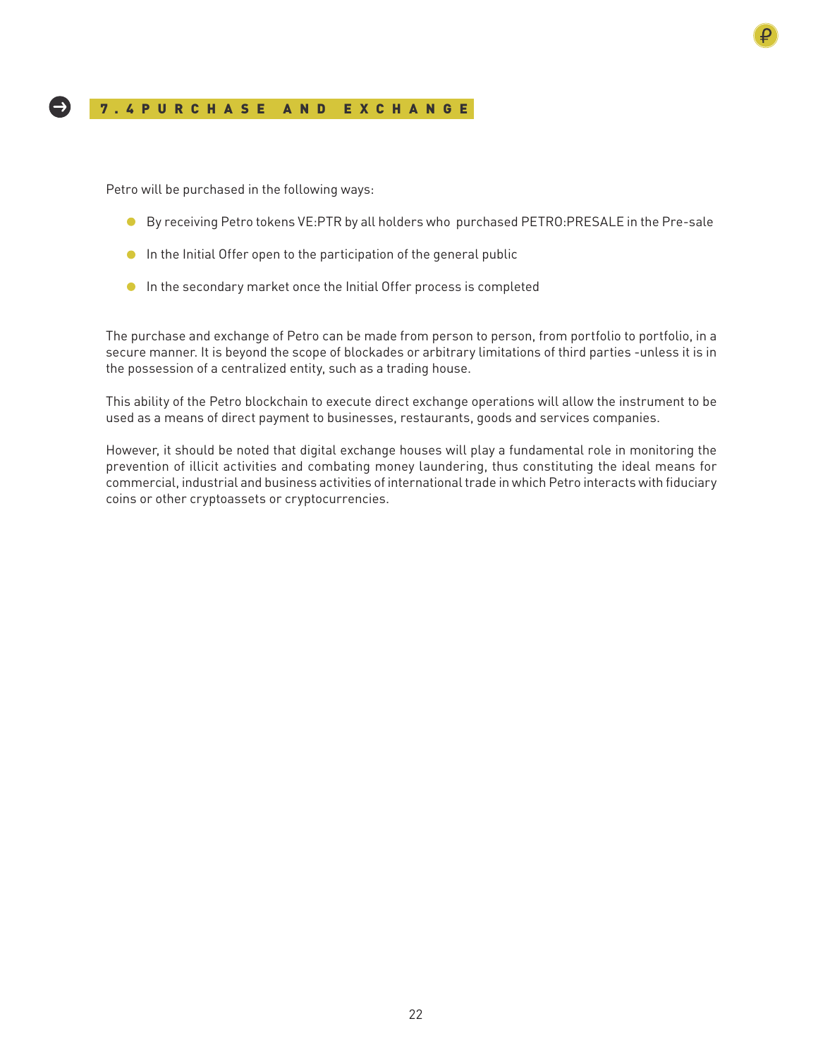## 7.4PURCHA SE AND EXCHANGE

Petro will be purchased in the following ways:

-)

- By receiving Petro tokens VE:PTR by all holders who purchased PETRO:PRESALE in the Pre-sale
- **In the Initial Offer open to the participation of the general public**
- **In the secondary market once the Initial Offer process is completed**

The purchase and exchange of Petro can be made from person to person, from portfolio to portfolio, in a secure manner. It is beyond the scope of blockades or arbitrary limitations of third parties -unless it is in the possession of a centralized entity, such as a trading house.

This ability of the Petro blockchain to execute direct exchange operations will allow the instrument to be used as a means of direct payment to businesses, restaurants, goods and services companies.

However, it should be noted that digital exchange houses will play a fundamental role in monitoring the prevention of illicit activities and combating money laundering, thus constituting the ideal means for commercial, industrial and business activities of international trade in which Petro interacts with fiduciary coins or other cryptoassets or cryptocurrencies.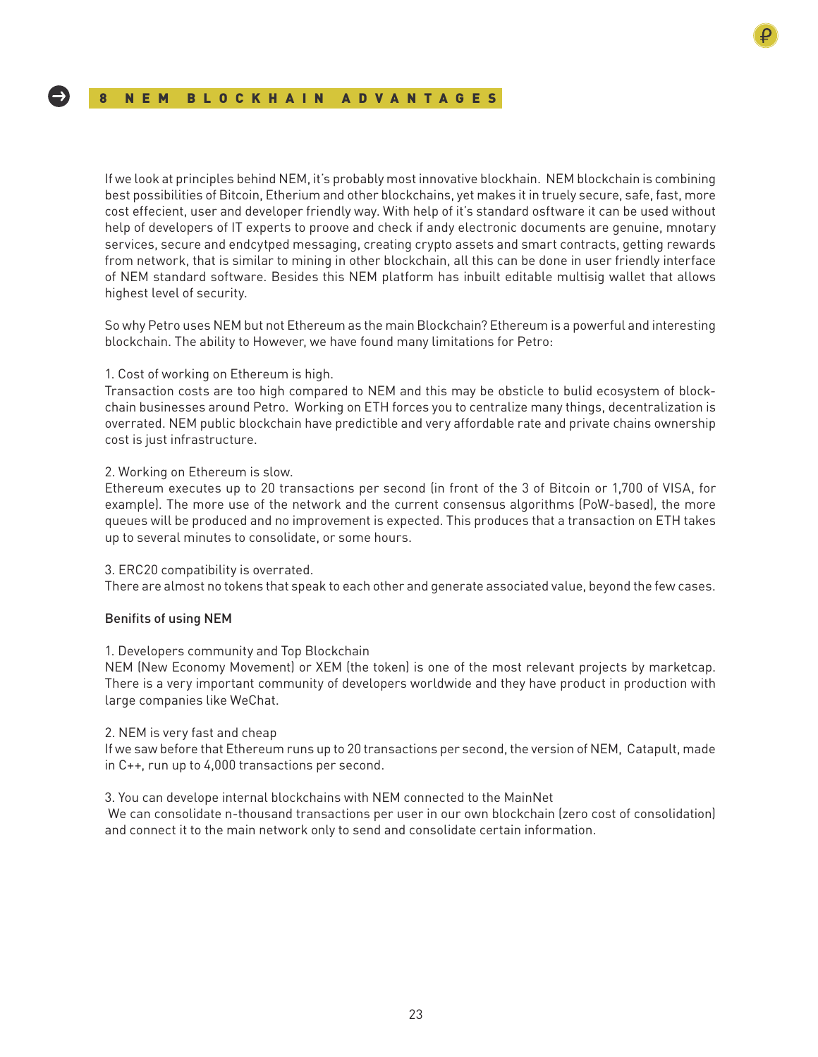If we look at principles behind NEM, it's probably most innovative blockhain. NEM blockchain is combining best possibilities of Bitcoin, Etherium and other blockchains, yet makes it in truely secure, safe, fast, more cost effecient, user and developer friendly way. With help of it's standard osftware it can be used without help of developers of IT experts to proove and check if andy electronic documents are genuine, mnotary services, secure and endcytped messaging, creating crypto assets and smart contracts, getting rewards from network, that is similar to mining in other blockchain, all this can be done in user friendly interface of NEM standard software. Besides this NEM platform has inbuilt editable multisig wallet that allows highest level of security.

So why Petro uses NEM but not Ethereum as the main Blockchain? Ethereum is a powerful and interesting blockchain. The ability to However, we have found many limitations for Petro:

## 1. Cost of working on Ethereum is high.

Transaction costs are too high compared to NEM and this may be obsticle to bulid ecosystem of blockchain businesses around Petro. Working on ETH forces you to centralize many things, decentralization is overrated. NEM public blockchain have predictible and very affordable rate and private chains ownership cost is just infrastructure.

## 2. Working on Ethereum is slow.

Ethereum executes up to 20 transactions per second (in front of the 3 of Bitcoin or 1,700 of VISA, for example). The more use of the network and the current consensus algorithms (PoW-based), the more queues will be produced and no improvement is expected. This produces that a transaction on ETH takes up to several minutes to consolidate, or some hours.

## 3. ERC20 compatibility is overrated.

There are almost no tokens that speak to each other and generate associated value, beyond the few cases.

## Benifits of using NEM

## 1. Developers community and Top Blockchain

NEM (New Economy Movement) or XEM (the token) is one of the most relevant projects by marketcap. There is a very important community of developers worldwide and they have product in production with large companies like WeChat.

## 2. NEM is very fast and cheap

If we saw before that Ethereum runs up to 20 transactions per second, the version of NEM, Catapult, made in C++, run up to 4,000 transactions per second.

## 3. You can develope internal blockchains with NEM connected to the MainNet

 We can consolidate n-thousand transactions per user in our own blockchain (zero cost of consolidation) and connect it to the main network only to send and consolidate certain information.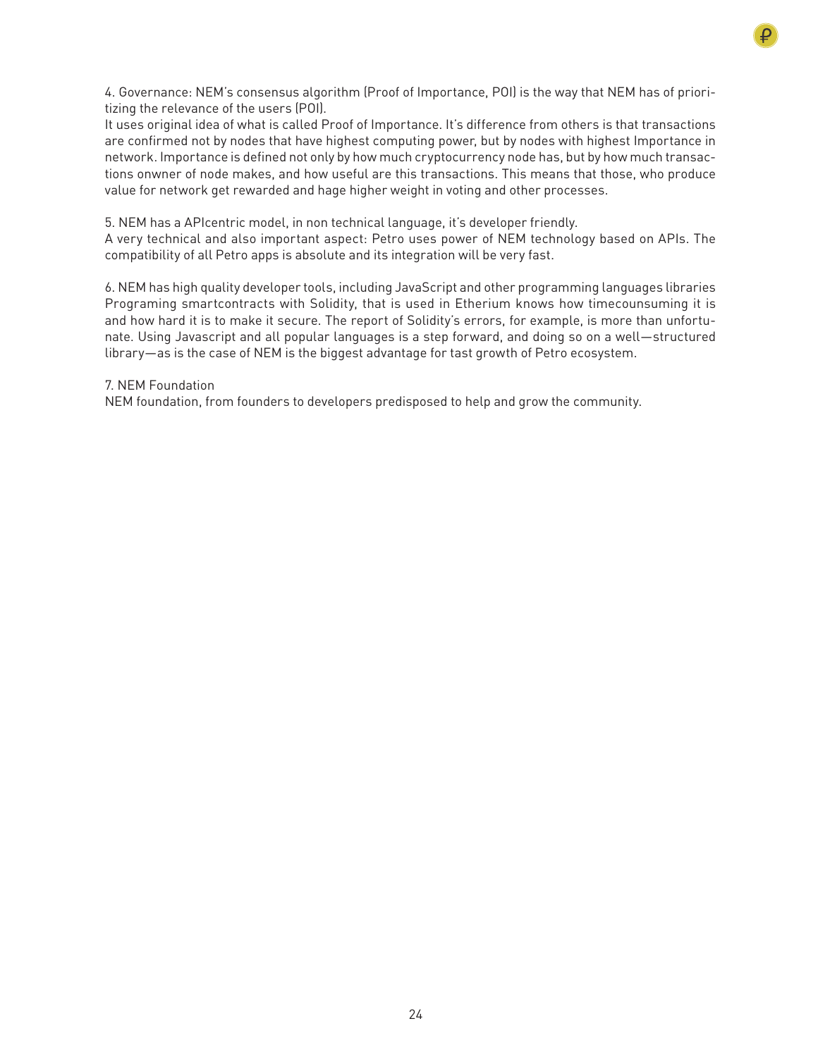

4. Governance: NEM's consensus algorithm (Proof of Importance, POI) is the way that NEM has of prioritizing the relevance of the users (POI).

It uses original idea of what is called Proof of Importance. It's difference from others is that transactions are confirmed not by nodes that have highest computing power, but by nodes with highest Importance in network. Importance is defined not only by how much cryptocurrency node has, but by how much transactions onwner of node makes, and how useful are this transactions. This means that those, who produce value for network get rewarded and hage higher weight in voting and other processes.

5. NEM has a APIcentric model, in non technical language, it's developer friendly.

A very technical and also important aspect: Petro uses power of NEM technology based on APIs. The compatibility of all Petro apps is absolute and its integration will be very fast.

6. NEM has high quality developer tools, including JavaScript and other programming languages libraries Programing smartcontracts with Solidity, that is used in Etherium knows how timecounsuming it is and how hard it is to make it secure. The report of Solidity's errors, for example, is more than unfortunate. Using Javascript and all popular languages is a step forward, and doing so on a well—structured library—as is the case of NEM is the biggest advantage for tast growth of Petro ecosystem.

## 7. NEM Foundation

NEM foundation, from founders to developers predisposed to help and grow the community.